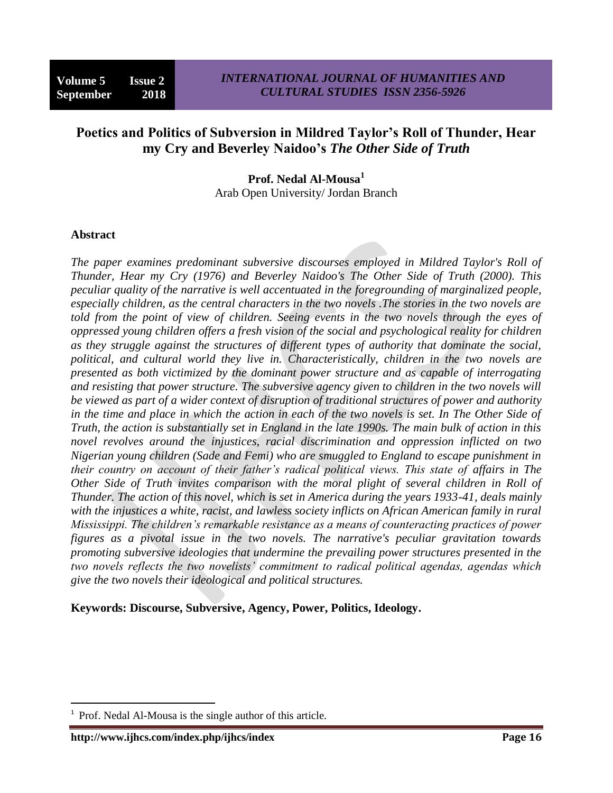# **Poetics and Politics of Subversion in Mildred Taylor's Roll of Thunder, Hear my Cry and Beverley Naidoo's** *The Other Side of Truth*

**Prof. Nedal Al-Mousa<sup>1</sup>** Arab Open University/ Jordan Branch

#### **Abstract**

*The paper examines predominant subversive discourses employed in Mildred Taylor's Roll of Thunder, Hear my Cry (1976) and Beverley Naidoo's The Other Side of Truth (2000). This peculiar quality of the narrative is well accentuated in the foregrounding of marginalized people, especially children, as the central characters in the two novels .The stories in the two novels are told from the point of view of children. Seeing events in the two novels through the eyes of oppressed young children offers a fresh vision of the social and psychological reality for children as they struggle against the structures of different types of authority that dominate the social, political, and cultural world they live in. Characteristically, children in the two novels are presented as both victimized by the dominant power structure and as capable of interrogating and resisting that power structure. The subversive agency given to children in the two novels will be viewed as part of a wider context of disruption of traditional structures of power and authority*  in the time and place in which the action in each of the two novels is set. In The Other Side of *Truth, the action is substantially set in England in the late 1990s. The main bulk of action in this novel revolves around the injustices, racial discrimination and oppression inflicted on two Nigerian young children (Sade and Femi) who are smuggled to England to escape punishment in their country on account of their father's radical political views. This state of affairs in The Other Side of Truth invites comparison with the moral plight of several children in Roll of Thunder. The action of this novel, which is set in America during the years 1933-41, deals mainly with the injustices a white, racist, and lawless society inflicts on African American family in rural Mississippi. The children's remarkable resistance as a means of counteracting practices of power figures as a pivotal issue in the two novels. The narrative's peculiar gravitation towards promoting subversive ideologies that undermine the prevailing power structures presented in the two novels reflects the two novelists' commitment to radical political agendas, agendas which give the two novels their ideological and political structures.*

**Keywords: Discourse, Subversive, Agency, Power, Politics, Ideology.**

1

<sup>1</sup> Prof. Nedal Al-Mousa is the single author of this article.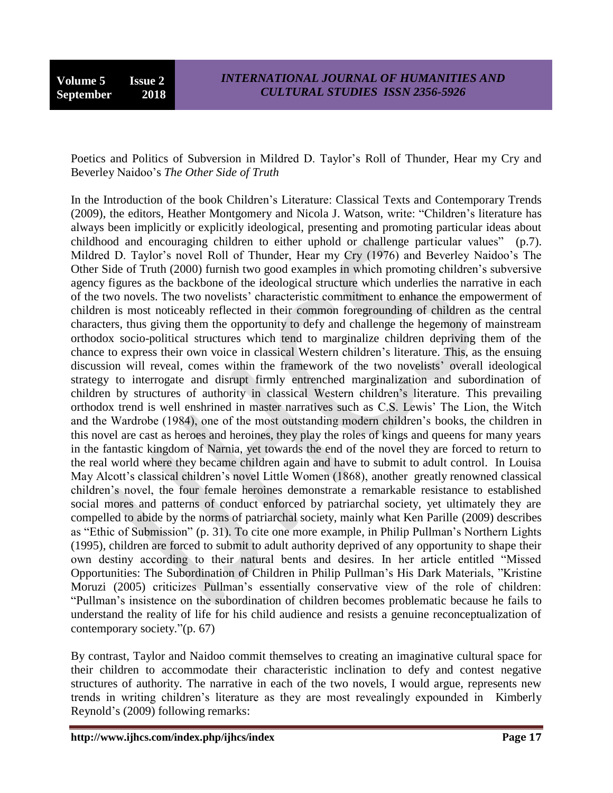**Volume 5 Issue 2 September 2018**

Poetics and Politics of Subversion in Mildred D. Taylor's Roll of Thunder, Hear my Cry and Beverley Naidoo's *The Other Side of Truth*

In the Introduction of the book Children's Literature: Classical Texts and Contemporary Trends (2009), the editors, Heather Montgomery and Nicola J. Watson, write: "Children's literature has always been implicitly or explicitly ideological, presenting and promoting particular ideas about childhood and encouraging children to either uphold or challenge particular values" (p.7). Mildred D. Taylor's novel Roll of Thunder, Hear my Cry (1976) and Beverley Naidoo's The Other Side of Truth (2000) furnish two good examples in which promoting children's subversive agency figures as the backbone of the ideological structure which underlies the narrative in each of the two novels. The two novelists' characteristic commitment to enhance the empowerment of children is most noticeably reflected in their common foregrounding of children as the central characters, thus giving them the opportunity to defy and challenge the hegemony of mainstream orthodox socio-political structures which tend to marginalize children depriving them of the chance to express their own voice in classical Western children's literature. This, as the ensuing discussion will reveal, comes within the framework of the two novelists' overall ideological strategy to interrogate and disrupt firmly entrenched marginalization and subordination of children by structures of authority in classical Western children's literature. This prevailing orthodox trend is well enshrined in master narratives such as C.S. Lewis' The Lion, the Witch and the Wardrobe (1984), one of the most outstanding modern children's books, the children in this novel are cast as heroes and heroines, they play the roles of kings and queens for many years in the fantastic kingdom of Narnia, yet towards the end of the novel they are forced to return to the real world where they became children again and have to submit to adult control. In Louisa May Alcott's classical children's novel Little Women (1868), another greatly renowned classical children's novel, the four female heroines demonstrate a remarkable resistance to established social mores and patterns of conduct enforced by patriarchal society, yet ultimately they are compelled to abide by the norms of patriarchal society, mainly what Ken Parille (2009) describes as "Ethic of Submission" (p. 31). To cite one more example, in Philip Pullman's Northern Lights (1995), children are forced to submit to adult authority deprived of any opportunity to shape their own destiny according to their natural bents and desires. In her article entitled "Missed Opportunities: The Subordination of Children in Philip Pullman's His Dark Materials, "Kristine Moruzi (2005) criticizes Pullman's essentially conservative view of the role of children: ―Pullman's insistence on the subordination of children becomes problematic because he fails to understand the reality of life for his child audience and resists a genuine reconceptualization of contemporary society." $(p. 67)$ 

By contrast, Taylor and Naidoo commit themselves to creating an imaginative cultural space for their children to accommodate their characteristic inclination to defy and contest negative structures of authority. The narrative in each of the two novels, I would argue, represents new trends in writing children's literature as they are most revealingly expounded in Kimberly Reynold's (2009) following remarks: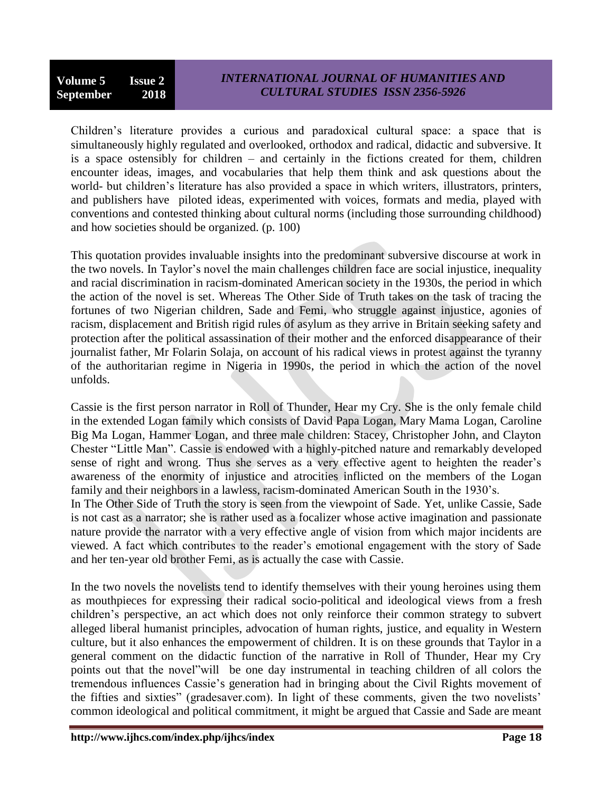## *INTERNATIONAL JOURNAL OF HUMANITIES AND CULTURAL STUDIES ISSN 2356-5926*

Children's literature provides a curious and paradoxical cultural space: a space that is simultaneously highly regulated and overlooked, orthodox and radical, didactic and subversive. It is a space ostensibly for children – and certainly in the fictions created for them, children encounter ideas, images, and vocabularies that help them think and ask questions about the world- but children's literature has also provided a space in which writers, illustrators, printers, and publishers have piloted ideas, experimented with voices, formats and media, played with conventions and contested thinking about cultural norms (including those surrounding childhood) and how societies should be organized. (p. 100)

This quotation provides invaluable insights into the predominant subversive discourse at work in the two novels. In Taylor's novel the main challenges children face are social injustice, inequality and racial discrimination in racism-dominated American society in the 1930s, the period in which the action of the novel is set. Whereas The Other Side of Truth takes on the task of tracing the fortunes of two Nigerian children, Sade and Femi, who struggle against injustice, agonies of racism, displacement and British rigid rules of asylum as they arrive in Britain seeking safety and protection after the political assassination of their mother and the enforced disappearance of their journalist father, Mr Folarin Solaja, on account of his radical views in protest against the tyranny of the authoritarian regime in Nigeria in 1990s, the period in which the action of the novel unfolds.

Cassie is the first person narrator in Roll of Thunder, Hear my Cry. She is the only female child in the extended Logan family which consists of David Papa Logan, Mary Mama Logan, Caroline Big Ma Logan, Hammer Logan, and three male children: Stacey, Christopher John, and Clayton Chester "Little Man". Cassie is endowed with a highly-pitched nature and remarkably developed sense of right and wrong. Thus she serves as a very effective agent to heighten the reader's awareness of the enormity of injustice and atrocities inflicted on the members of the Logan family and their neighbors in a lawless, racism-dominated American South in the 1930's.

In The Other Side of Truth the story is seen from the viewpoint of Sade. Yet, unlike Cassie, Sade is not cast as a narrator; she is rather used as a focalizer whose active imagination and passionate nature provide the narrator with a very effective angle of vision from which major incidents are viewed. A fact which contributes to the reader's emotional engagement with the story of Sade and her ten-year old brother Femi, as is actually the case with Cassie.

In the two novels the novelists tend to identify themselves with their young heroines using them as mouthpieces for expressing their radical socio-political and ideological views from a fresh children's perspective, an act which does not only reinforce their common strategy to subvert alleged liberal humanist principles, advocation of human rights, justice, and equality in Western culture, but it also enhances the empowerment of children. It is on these grounds that Taylor in a general comment on the didactic function of the narrative in Roll of Thunder, Hear my Cry points out that the novel "will be one day instrumental in teaching children of all colors the tremendous influences Cassie's generation had in bringing about the Civil Rights movement of the fifties and sixties" (gradesaver.com). In light of these comments, given the two novelists' common ideological and political commitment, it might be argued that Cassie and Sade are meant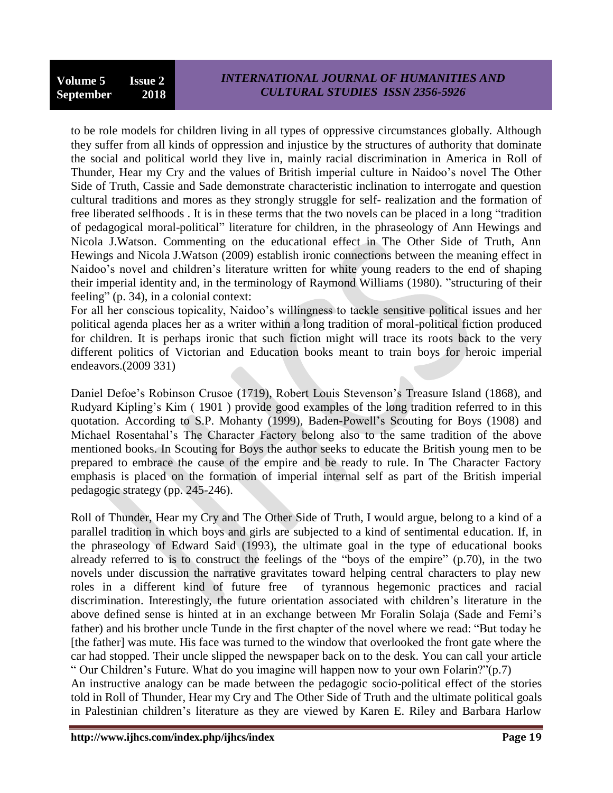to be role models for children living in all types of oppressive circumstances globally. Although they suffer from all kinds of oppression and injustice by the structures of authority that dominate the social and political world they live in, mainly racial discrimination in America in Roll of Thunder, Hear my Cry and the values of British imperial culture in Naidoo's novel The Other Side of Truth, Cassie and Sade demonstrate characteristic inclination to interrogate and question cultural traditions and mores as they strongly struggle for self- realization and the formation of free liberated selfhoods. It is in these terms that the two novels can be placed in a long "tradition" of pedagogical moral-political" literature for children, in the phraseology of Ann Hewings and Nicola J.Watson. Commenting on the educational effect in The Other Side of Truth, Ann Hewings and Nicola J.Watson (2009) establish ironic connections between the meaning effect in Naidoo's novel and children's literature written for white young readers to the end of shaping their imperial identity and, in the terminology of Raymond Williams (1980). "structuring of their feeling" (p. 34), in a colonial context:

For all her conscious topicality, Naidoo's willingness to tackle sensitive political issues and her political agenda places her as a writer within a long tradition of moral-political fiction produced for children. It is perhaps ironic that such fiction might will trace its roots back to the very different politics of Victorian and Education books meant to train boys for heroic imperial endeavors.(2009 331)

Daniel Defoe's Robinson Crusoe (1719), Robert Louis Stevenson's Treasure Island (1868), and Rudyard Kipling's Kim ( 1901 ) provide good examples of the long tradition referred to in this quotation. According to S.P. Mohanty (1999), Baden-Powell's Scouting for Boys (1908) and Michael Rosentahal's The Character Factory belong also to the same tradition of the above mentioned books. In Scouting for Boys the author seeks to educate the British young men to be prepared to embrace the cause of the empire and be ready to rule. In The Character Factory emphasis is placed on the formation of imperial internal self as part of the British imperial pedagogic strategy (pp. 245-246).

Roll of Thunder, Hear my Cry and The Other Side of Truth, I would argue, belong to a kind of a parallel tradition in which boys and girls are subjected to a kind of sentimental education. If, in the phraseology of Edward Said (1993), the ultimate goal in the type of educational books already referred to is to construct the feelings of the "boys of the empire"  $(p.70)$ , in the two novels under discussion the narrative gravitates toward helping central characters to play new roles in a different kind of future free of tyrannous hegemonic practices and racial discrimination. Interestingly, the future orientation associated with children's literature in the above defined sense is hinted at in an exchange between Mr Foralin Solaja (Sade and Femi's father) and his brother uncle Tunde in the first chapter of the novel where we read: "But today he [the father] was mute. His face was turned to the window that overlooked the front gate where the car had stopped. Their uncle slipped the newspaper back on to the desk. You can call your article " Our Children's Future. What do you imagine will happen now to your own Folarin?"(p.7)

An instructive analogy can be made between the pedagogic socio-political effect of the stories told in Roll of Thunder, Hear my Cry and The Other Side of Truth and the ultimate political goals in Palestinian children's literature as they are viewed by Karen E. Riley and Barbara Harlow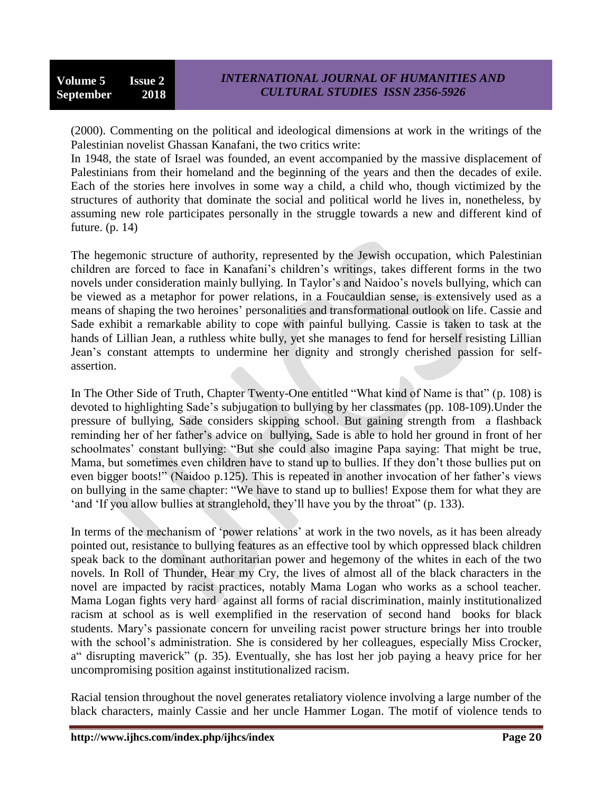(2000). Commenting on the political and ideological dimensions at work in the writings of the Palestinian novelist Ghassan Kanafani, the two critics write:

In 1948, the state of Israel was founded, an event accompanied by the massive displacement of Palestinians from their homeland and the beginning of the years and then the decades of exile. Each of the stories here involves in some way a child, a child who, though victimized by the structures of authority that dominate the social and political world he lives in, nonetheless, by assuming new role participates personally in the struggle towards a new and different kind of future. (p. 14)

The hegemonic structure of authority, represented by the Jewish occupation, which Palestinian children are forced to face in Kanafani's children's writings, takes different forms in the two novels under consideration mainly bullying. In Taylor's and Naidoo's novels bullying, which can be viewed as a metaphor for power relations, in a Foucauldian sense, is extensively used as a means of shaping the two heroines' personalities and transformational outlook on life. Cassie and Sade exhibit a remarkable ability to cope with painful bullying. Cassie is taken to task at the hands of Lillian Jean, a ruthless white bully, yet she manages to fend for herself resisting Lillian Jean's constant attempts to undermine her dignity and strongly cherished passion for selfassertion.

In The Other Side of Truth, Chapter Twenty-One entitled "What kind of Name is that" (p. 108) is devoted to highlighting Sade's subjugation to bullying by her classmates (pp. 108-109).Under the pressure of bullying, Sade considers skipping school. But gaining strength from a flashback reminding her of her father's advice on bullying, Sade is able to hold her ground in front of her schoolmates' constant bullying: "But she could also imagine Papa saying: That might be true, Mama, but sometimes even children have to stand up to bullies. If they don't those bullies put on even bigger boots!" (Naidoo p.125). This is repeated in another invocation of her father's views on bullying in the same chapter: "We have to stand up to bullies! Expose them for what they are 'and 'If you allow bullies at stranglehold, they'll have you by the throat" (p. 133).

In terms of the mechanism of 'power relations' at work in the two novels, as it has been already pointed out, resistance to bullying features as an effective tool by which oppressed black children speak back to the dominant authoritarian power and hegemony of the whites in each of the two novels. In Roll of Thunder, Hear my Cry, the lives of almost all of the black characters in the novel are impacted by racist practices, notably Mama Logan who works as a school teacher. Mama Logan fights very hard against all forms of racial discrimination, mainly institutionalized racism at school as is well exemplified in the reservation of second hand books for black students. Mary's passionate concern for unveiling racist power structure brings her into trouble with the school's administration. She is considered by her colleagues, especially Miss Crocker, a disrupting maverick" (p. 35). Eventually, she has lost her job paying a heavy price for her uncompromising position against institutionalized racism.

Racial tension throughout the novel generates retaliatory violence involving a large number of the black characters, mainly Cassie and her uncle Hammer Logan. The motif of violence tends to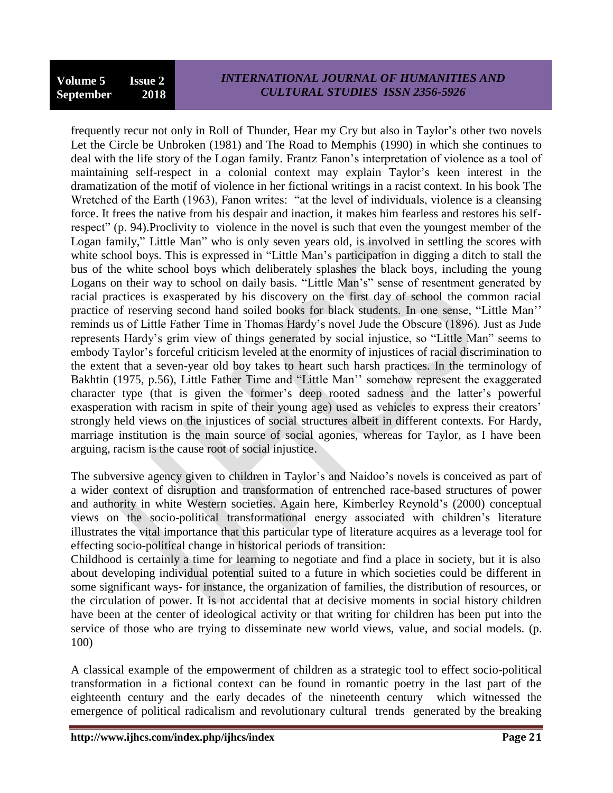## *INTERNATIONAL JOURNAL OF HUMANITIES AND CULTURAL STUDIES ISSN 2356-5926*

frequently recur not only in Roll of Thunder, Hear my Cry but also in Taylor's other two novels Let the Circle be Unbroken (1981) and The Road to Memphis (1990) in which she continues to deal with the life story of the Logan family. Frantz Fanon's interpretation of violence as a tool of maintaining self-respect in a colonial context may explain Taylor's keen interest in the dramatization of the motif of violence in her fictional writings in a racist context. In his book The Wretched of the Earth (1963), Fanon writes: "at the level of individuals, violence is a cleansing force. It frees the native from his despair and inaction, it makes him fearless and restores his selfrespect" (p. 94). Proclivity to violence in the novel is such that even the youngest member of the Logan family," Little Man" who is only seven years old, is involved in settling the scores with white school boys. This is expressed in "Little Man's participation in digging a ditch to stall the bus of the white school boys which deliberately splashes the black boys, including the young Logans on their way to school on daily basis. "Little Man's" sense of resentment generated by racial practices is exasperated by his discovery on the first day of school the common racial practice of reserving second hand soiled books for black students. In one sense, "Little Man" reminds us of Little Father Time in Thomas Hardy's novel Jude the Obscure (1896). Just as Jude represents Hardy's grim view of things generated by social injustice, so "Little Man" seems to embody Taylor's forceful criticism leveled at the enormity of injustices of racial discrimination to the extent that a seven-year old boy takes to heart such harsh practices. In the terminology of Bakhtin (1975, p.56), Little Father Time and "Little Man" somehow represent the exaggerated character type (that is given the former's deep rooted sadness and the latter's powerful exasperation with racism in spite of their young age) used as vehicles to express their creators' strongly held views on the injustices of social structures albeit in different contexts. For Hardy, marriage institution is the main source of social agonies, whereas for Taylor, as I have been arguing, racism is the cause root of social injustice.

The subversive agency given to children in Taylor's and Naidoo's novels is conceived as part of a wider context of disruption and transformation of entrenched race-based structures of power and authority in white Western societies. Again here, Kimberley Reynold's (2000) conceptual views on the socio-political transformational energy associated with children's literature illustrates the vital importance that this particular type of literature acquires as a leverage tool for effecting socio-political change in historical periods of transition:

Childhood is certainly a time for learning to negotiate and find a place in society, but it is also about developing individual potential suited to a future in which societies could be different in some significant ways- for instance, the organization of families, the distribution of resources, or the circulation of power. It is not accidental that at decisive moments in social history children have been at the center of ideological activity or that writing for children has been put into the service of those who are trying to disseminate new world views, value, and social models. (p. 100)

A classical example of the empowerment of children as a strategic tool to effect socio-political transformation in a fictional context can be found in romantic poetry in the last part of the eighteenth century and the early decades of the nineteenth century which witnessed the emergence of political radicalism and revolutionary cultural trends generated by the breaking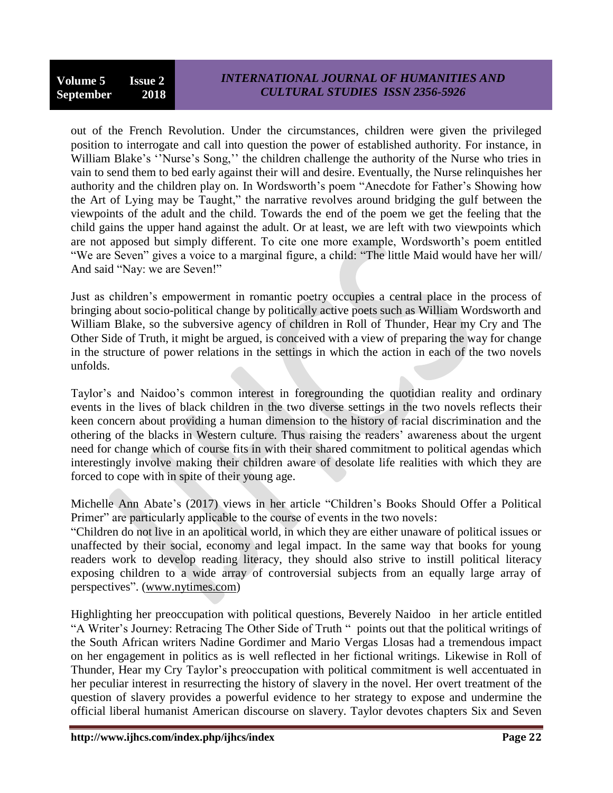out of the French Revolution. Under the circumstances, children were given the privileged position to interrogate and call into question the power of established authority. For instance, in William Blake's "Nurse's Song," the children challenge the authority of the Nurse who tries in vain to send them to bed early against their will and desire. Eventually, the Nurse relinquishes her authority and the children play on. In Wordsworth's poem "Anecdote for Father's Showing how the Art of Lying may be Taught," the narrative revolves around bridging the gulf between the viewpoints of the adult and the child. Towards the end of the poem we get the feeling that the child gains the upper hand against the adult. Or at least, we are left with two viewpoints which are not apposed but simply different. To cite one more example, Wordsworth's poem entitled "We are Seven" gives a voice to a marginal figure, a child: "The little Maid would have her will/ And said "Nay: we are Seven!"

Just as children's empowerment in romantic poetry occupies a central place in the process of bringing about socio-political change by politically active poets such as William Wordsworth and William Blake, so the subversive agency of children in Roll of Thunder, Hear my Cry and The Other Side of Truth, it might be argued, is conceived with a view of preparing the way for change in the structure of power relations in the settings in which the action in each of the two novels unfolds.

Taylor's and Naidoo's common interest in foregrounding the quotidian reality and ordinary events in the lives of black children in the two diverse settings in the two novels reflects their keen concern about providing a human dimension to the history of racial discrimination and the othering of the blacks in Western culture. Thus raising the readers' awareness about the urgent need for change which of course fits in with their shared commitment to political agendas which interestingly involve making their children aware of desolate life realities with which they are forced to cope with in spite of their young age.

Michelle Ann Abate's (2017) views in her article "Children's Books Should Offer a Political Primer" are particularly applicable to the course of events in the two novels:

―Children do not live in an apolitical world, in which they are either unaware of political issues or unaffected by their social, economy and legal impact. In the same way that books for young readers work to develop reading literacy, they should also strive to instill political literacy exposing children to a wide array of controversial subjects from an equally large array of perspectives". [\(www.nytimes.com\)](http://www.nytimes.com/)

Highlighting her preoccupation with political questions, Beverely Naidoo in her article entitled "A Writer's Journey: Retracing The Other Side of Truth " points out that the political writings of the South African writers Nadine Gordimer and Mario Vergas Llosas had a tremendous impact on her engagement in politics as is well reflected in her fictional writings. Likewise in Roll of Thunder, Hear my Cry Taylor's preoccupation with political commitment is well accentuated in her peculiar interest in resurrecting the history of slavery in the novel. Her overt treatment of the question of slavery provides a powerful evidence to her strategy to expose and undermine the official liberal humanist American discourse on slavery. Taylor devotes chapters Six and Seven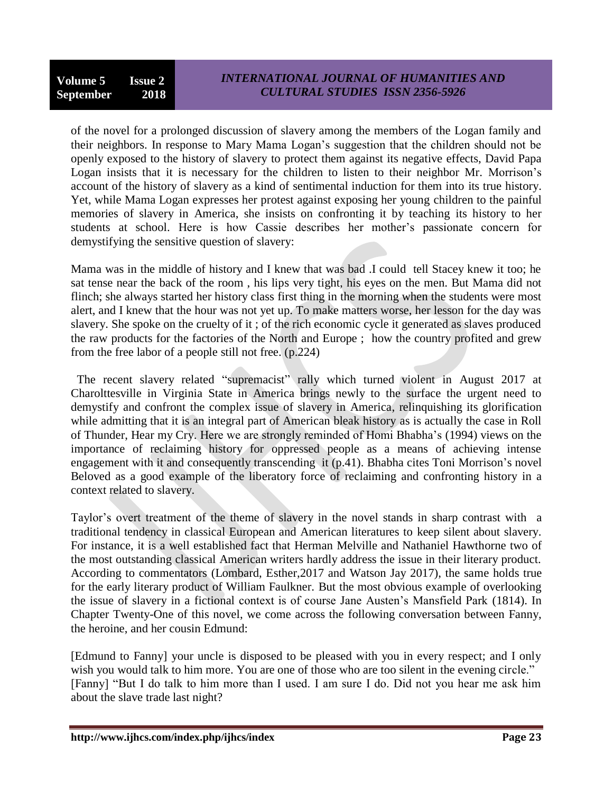of the novel for a prolonged discussion of slavery among the members of the Logan family and their neighbors. In response to Mary Mama Logan's suggestion that the children should not be openly exposed to the history of slavery to protect them against its negative effects, David Papa Logan insists that it is necessary for the children to listen to their neighbor Mr. Morrison's account of the history of slavery as a kind of sentimental induction for them into its true history. Yet, while Mama Logan expresses her protest against exposing her young children to the painful memories of slavery in America, she insists on confronting it by teaching its history to her students at school. Here is how Cassie describes her mother's passionate concern for demystifying the sensitive question of slavery:

Mama was in the middle of history and I knew that was bad .I could tell Stacey knew it too; he sat tense near the back of the room , his lips very tight, his eyes on the men. But Mama did not flinch; she always started her history class first thing in the morning when the students were most alert, and I knew that the hour was not yet up. To make matters worse, her lesson for the day was slavery. She spoke on the cruelty of it ; of the rich economic cycle it generated as slaves produced the raw products for the factories of the North and Europe ; how the country profited and grew from the free labor of a people still not free. (p.224)

The recent slavery related "supremacist" rally which turned violent in August 2017 at Charolttesville in Virginia State in America brings newly to the surface the urgent need to demystify and confront the complex issue of slavery in America, relinquishing its glorification while admitting that it is an integral part of American bleak history as is actually the case in Roll of Thunder, Hear my Cry. Here we are strongly reminded of Homi Bhabha's (1994) views on the importance of reclaiming history for oppressed people as a means of achieving intense engagement with it and consequently transcending it (p.41). Bhabha cites Toni Morrison's novel Beloved as a good example of the liberatory force of reclaiming and confronting history in a context related to slavery.

Taylor's overt treatment of the theme of slavery in the novel stands in sharp contrast with a traditional tendency in classical European and American literatures to keep silent about slavery. For instance, it is a well established fact that Herman Melville and Nathaniel Hawthorne two of the most outstanding classical American writers hardly address the issue in their literary product. According to commentators (Lombard, Esther,2017 and Watson Jay 2017), the same holds true for the early literary product of William Faulkner. But the most obvious example of overlooking the issue of slavery in a fictional context is of course Jane Austen's Mansfield Park (1814). In Chapter Twenty-One of this novel, we come across the following conversation between Fanny, the heroine, and her cousin Edmund:

[Edmund to Fanny] your uncle is disposed to be pleased with you in every respect; and I only wish you would talk to him more. You are one of those who are too silent in the evening circle." [Fanny] "But I do talk to him more than I used. I am sure I do. Did not you hear me ask him about the slave trade last night?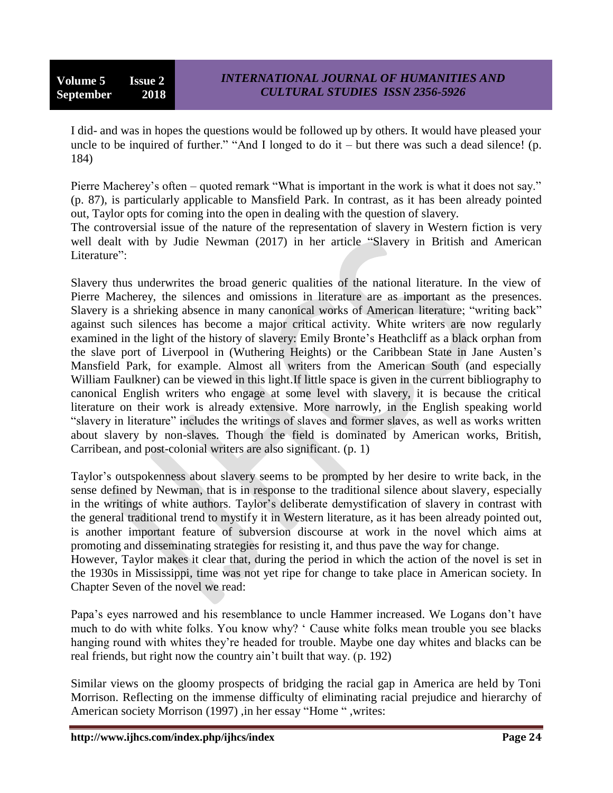**Volume 5 Issue 2 September 2018**

I did- and was in hopes the questions would be followed up by others. It would have pleased your uncle to be inquired of further." "And I longed to do it – but there was such a dead silence! (p. 184)

Pierre Macherey's often – quoted remark "What is important in the work is what it does not say." (p. 87), is particularly applicable to Mansfield Park. In contrast, as it has been already pointed out, Taylor opts for coming into the open in dealing with the question of slavery.

The controversial issue of the nature of the representation of slavery in Western fiction is very well dealt with by Judie Newman (2017) in her article "Slavery in British and American Literature":

Slavery thus underwrites the broad generic qualities of the national literature. In the view of Pierre Macherey, the silences and omissions in literature are as important as the presences. Slavery is a shrieking absence in many canonical works of American literature; "writing back" against such silences has become a major critical activity. White writers are now regularly examined in the light of the history of slavery: Emily Bronte's Heathcliff as a black orphan from the slave port of Liverpool in (Wuthering Heights) or the Caribbean State in Jane Austen's Mansfield Park, for example. Almost all writers from the American South (and especially William Faulkner) can be viewed in this light.If little space is given in the current bibliography to canonical English writers who engage at some level with slavery, it is because the critical literature on their work is already extensive. More narrowly, in the English speaking world "slavery in literature" includes the writings of slaves and former slaves, as well as works written about slavery by non-slaves. Though the field is dominated by American works, British, Carribean, and post-colonial writers are also significant. (p. 1)

Taylor's outspokenness about slavery seems to be prompted by her desire to write back, in the sense defined by Newman, that is in response to the traditional silence about slavery, especially in the writings of white authors. Taylor's deliberate demystification of slavery in contrast with the general traditional trend to mystify it in Western literature, as it has been already pointed out, is another important feature of subversion discourse at work in the novel which aims at promoting and disseminating strategies for resisting it, and thus pave the way for change.

However, Taylor makes it clear that, during the period in which the action of the novel is set in the 1930s in Mississippi, time was not yet ripe for change to take place in American society. In Chapter Seven of the novel we read:

Papa's eyes narrowed and his resemblance to uncle Hammer increased. We Logans don't have much to do with white folks. You know why? ‗ Cause white folks mean trouble you see blacks hanging round with whites they're headed for trouble. Maybe one day whites and blacks can be real friends, but right now the country ain't built that way. (p. 192)

Similar views on the gloomy prospects of bridging the racial gap in America are held by Toni Morrison. Reflecting on the immense difficulty of eliminating racial prejudice and hierarchy of American society Morrison (1997) ,in her essay "Home ", writes: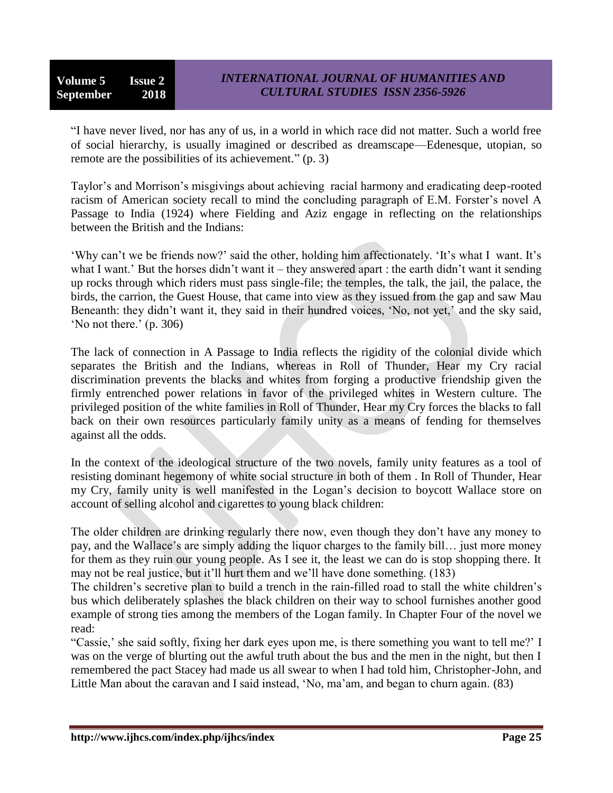**Volume 5 Issue 2 September 2018**

"I have never lived, nor has any of us, in a world in which race did not matter. Such a world free of social hierarchy, is usually imagined or described as dreamscape—Edenesque, utopian, so remote are the possibilities of its achievement."  $(p, 3)$ 

Taylor's and Morrison's misgivings about achieving racial harmony and eradicating deep-rooted racism of American society recall to mind the concluding paragraph of E.M. Forster's novel A Passage to India (1924) where Fielding and Aziz engage in reflecting on the relationships between the British and the Indians:

‗Why can't we be friends now?' said the other, holding him affectionately. ‗It's what I want. It's what I want.' But the horses didn't want it – they answered apart : the earth didn't want it sending up rocks through which riders must pass single-file; the temples, the talk, the jail, the palace, the birds, the carrion, the Guest House, that came into view as they issued from the gap and saw Mau Beneanth: they didn't want it, they said in their hundred voices, 'No, not yet,' and the sky said, ‗No not there.' (p. 306)

The lack of connection in A Passage to India reflects the rigidity of the colonial divide which separates the British and the Indians, whereas in Roll of Thunder, Hear my Cry racial discrimination prevents the blacks and whites from forging a productive friendship given the firmly entrenched power relations in favor of the privileged whites in Western culture. The privileged position of the white families in Roll of Thunder, Hear my Cry forces the blacks to fall back on their own resources particularly family unity as a means of fending for themselves against all the odds.

In the context of the ideological structure of the two novels, family unity features as a tool of resisting dominant hegemony of white social structure in both of them . In Roll of Thunder, Hear my Cry, family unity is well manifested in the Logan's decision to boycott Wallace store on account of selling alcohol and cigarettes to young black children:

The older children are drinking regularly there now, even though they don't have any money to pay, and the Wallace's are simply adding the liquor charges to the family bill… just more money for them as they ruin our young people. As I see it, the least we can do is stop shopping there. It may not be real justice, but it'll hurt them and we'll have done something. (183)

The children's secretive plan to build a trench in the rain-filled road to stall the white children's bus which deliberately splashes the black children on their way to school furnishes another good example of strong ties among the members of the Logan family. In Chapter Four of the novel we read:

―Cassie,' she said softly, fixing her dark eyes upon me, is there something you want to tell me?' I was on the verge of blurting out the awful truth about the bus and the men in the night, but then I remembered the pact Stacey had made us all swear to when I had told him, Christopher-John, and Little Man about the caravan and I said instead, 'No, ma'am, and began to churn again. (83)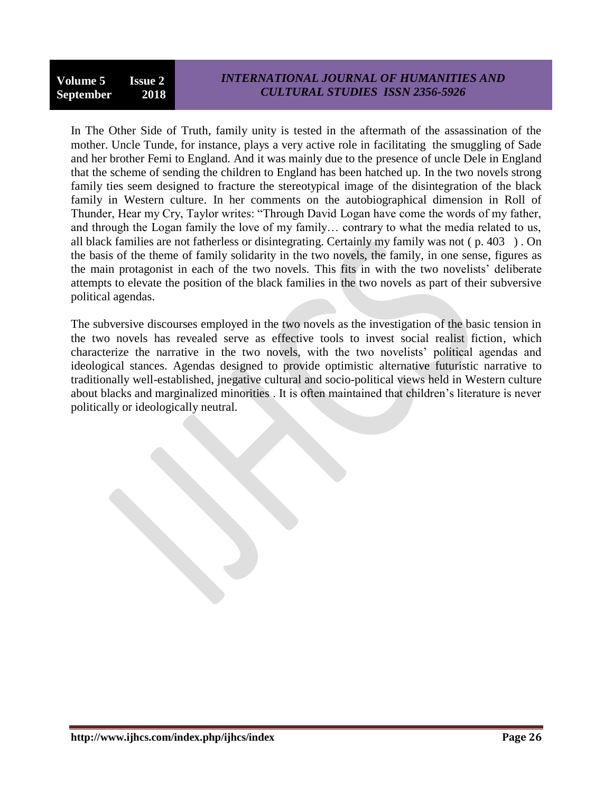## *INTERNATIONAL JOURNAL OF HUMANITIES AND CULTURAL STUDIES ISSN 2356-5926*

In The Other Side of Truth, family unity is tested in the aftermath of the assassination of the mother. Uncle Tunde, for instance, plays a very active role in facilitating the smuggling of Sade and her brother Femi to England. And it was mainly due to the presence of uncle Dele in England that the scheme of sending the children to England has been hatched up. In the two novels strong family ties seem designed to fracture the stereotypical image of the disintegration of the black family in Western culture. In her comments on the autobiographical dimension in Roll of Thunder, Hear my Cry, Taylor writes: "Through David Logan have come the words of my father, and through the Logan family the love of my family… contrary to what the media related to us, all black families are not fatherless or disintegrating. Certainly my family was not ( p. 403 ) . On the basis of the theme of family solidarity in the two novels, the family, in one sense, figures as the main protagonist in each of the two novels. This fits in with the two novelists' deliberate attempts to elevate the position of the black families in the two novels as part of their subversive political agendas.

The subversive discourses employed in the two novels as the investigation of the basic tension in the two novels has revealed serve as effective tools to invest social realist fiction, which characterize the narrative in the two novels, with the two novelists' political agendas and ideological stances. Agendas designed to provide optimistic alternative futuristic narrative to traditionally well-established, jnegative cultural and socio-political views held in Western culture about blacks and marginalized minorities . It is often maintained that children's literature is never politically or ideologically neutral.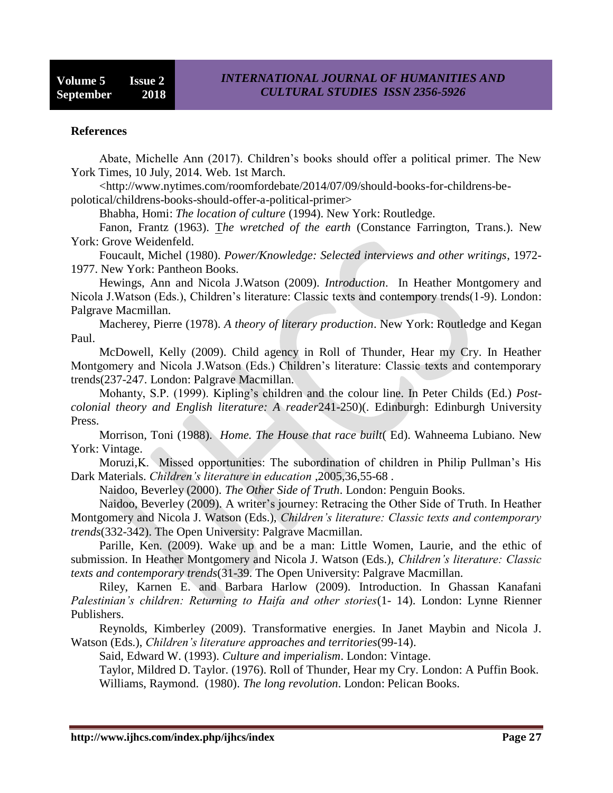#### **References**

Abate, Michelle Ann (2017). Children's books should offer a political primer. The New York Times, 10 July, 2014. Web. 1st March.

<http://www.nytimes.com/roomfordebate/2014/07/09/should-books-for-childrens-bepolotical/childrens-books-should-offer-a-political-primer>

Bhabha, Homi: *The location of culture* (1994). New York: Routledge.

Fanon, Frantz (1963). T*[he wretched of the earth](https://en.wikipedia.org/wiki/The_Wretched_of_the_Earth)* (Constance Farrington, Trans.). New York: Grove Weidenfeld.

Foucault, Michel (1980). *Power/Knowledge: Selected interviews and other writings*, 1972- 1977. New York: Pantheon Books.

Hewings, Ann and Nicola J.Watson (2009). *Introduction*. In Heather Montgomery and Nicola J.Watson (Eds.), Children's literature: Classic texts and contempory trends(1-9). London: Palgrave Macmillan.

Macherey, Pierre (1978). *A theory of literary production*. New York: Routledge and Kegan Paul.

McDowell, Kelly (2009). Child agency in Roll of Thunder, Hear my Cry. In Heather Montgomery and Nicola J.Watson (Eds.) Children's literature: Classic texts and contemporary trends(237-247. London: Palgrave Macmillan.

Mohanty, S.P. (1999). Kipling's children and the colour line. In Peter Childs (Ed.) *Postcolonial theory and English literature: A reader*241-250)(. Edinburgh: Edinburgh University Press.

Morrison, Toni (1988). *Home. The House that race built*( Ed). Wahneema Lubiano. New York: Vintage.

Moruzi,K. Missed opportunities: The subordination of children in Philip Pullman's His Dark Materials. *Children's literature in education* ,2005,36,55-68 .

Naidoo, Beverley (2000). *The Other Side of Truth*. London: Penguin Books.

Naidoo, Beverley (2009). A writer's journey: Retracing the Other Side of Truth. In Heather Montgomery and Nicola J. Watson (Eds.), *Children's literature: Classic texts and contemporary trends*(332-342). The Open University: Palgrave Macmillan.

Parille, Ken. (2009). Wake up and be a man: Little Women, Laurie, and the ethic of submission. In Heather Montgomery and Nicola J. Watson (Eds.), *Children's literature: Classic texts and contemporary trends*(31-39. The Open University: Palgrave Macmillan.

Riley, Karnen E. and Barbara Harlow (2009). Introduction. In Ghassan Kanafani *Palestinian's children: Returning to Haifa and other stories*(1- 14). London: Lynne Rienner Publishers.

Reynolds, Kimberley (2009). Transformative energies. In Janet Maybin and Nicola J. Watson (Eds.), *Children's literature approaches and territories*(99-14).

Said, Edward W. (1993). *Culture and imperialism*. London: Vintage.

Taylor, Mildred D. Taylor. (1976). Roll of Thunder, Hear my Cry. London: A Puffin Book. Williams, Raymond. (1980). *The long revolution*. London: Pelican Books.